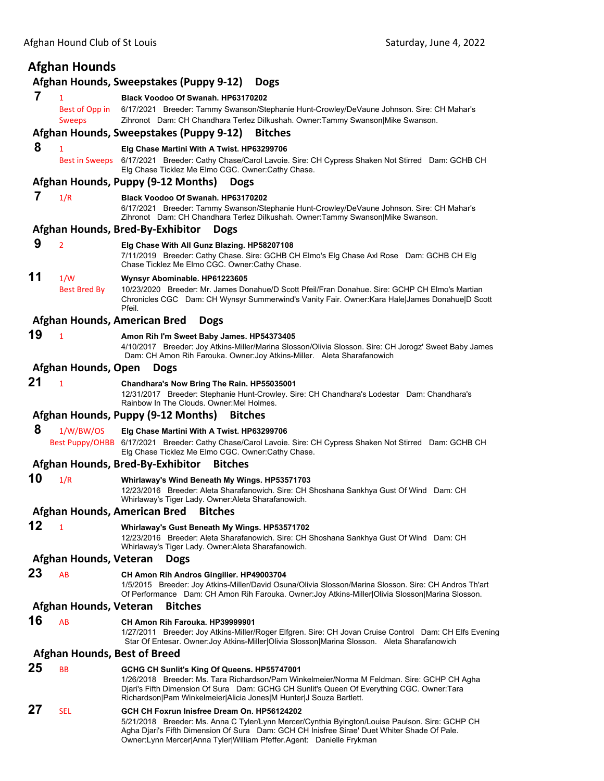# **Afghan Hounds**

#### **Afghan Hounds, Sweepstakes (Puppy 9‐12) Dogs**

 **7** <sup>1</sup> **Black Voodoo Of Swanah. HP63170202**

Best of Opp in 6/17/2021 Breeder: Tammy Swanson/Stephanie Hunt-Crowley/DeVaune Johnson. Sire: CH Mahar's Sweeps Zihronot Dam: CH Chandhara Terlez Dilkushah. Owner:Tammy Swanson|Mike Swanson.

## **Afghan Hounds, Sweepstakes (Puppy 9‐12) Bitches**

#### **8** <sup>1</sup> **Elg Chase Martini With A Twist. HP63299706**

Best in Sweeps 6/17/2021 Breeder: Cathy Chase/Carol Lavoie. Sire: CH Cypress Shaken Not Stirred Dam: GCHB CH Elg Chase Ticklez Me Elmo CGC. Owner:Cathy Chase.

## **Afghan Hounds, Puppy (9‐12 Months) Dogs**

 **7** 1/R **Black Voodoo Of Swanah. HP63170202**

6/17/2021 Breeder: Tammy Swanson/Stephanie Hunt-Crowley/DeVaune Johnson. Sire: CH Mahar's Zihronot Dam: CH Chandhara Terlez Dilkushah. Owner:Tammy Swanson|Mike Swanson.

#### **Afghan Hounds, Bred‐By‐Exhibitor Dogs**

#### **9** <sup>2</sup> **Elg Chase With All Gunz Blazing. HP58207108**

7/11/2019 Breeder: Cathy Chase. Sire: GCHB CH Elmo's Elg Chase Axl Rose Dam: GCHB CH Elg Chase Ticklez Me Elmo CGC. Owner:Cathy Chase.

# **11** 1/W **Wynsyr Abominable. HP61223605**

Best Bred By 10/23/2020 Breeder: Mr. James Donahue/D Scott Pfeil/Fran Donahue. Sire: GCHP CH Elmo's Martian Chronicles CGC Dam: CH Wynsyr Summerwind's Vanity Fair. Owner:Kara Hale|James Donahue|D Scott Pfeil.

## **Afghan Hounds, American Bred Dogs**

# **19** <sup>1</sup> **Amon Rih I'm Sweet Baby James. HP54373405**

4/10/2017 Breeder: Joy Atkins-Miller/Marina Slosson/Olivia Slosson. Sire: CH Jorogz' Sweet Baby James Dam: CH Amon Rih Farouka. Owner:Joy Atkins-Miller. Aleta Sharafanowich

#### **Afghan Hounds, Open Dogs**

**21** <sup>1</sup> **Chandhara's Now Bring The Rain. HP55035001**

12/31/2017 Breeder: Stephanie Hunt-Crowley. Sire: CH Chandhara's Lodestar Dam: Chandhara's Rainbow In The Clouds. Owner:Mel Holmes.

## **Afghan Hounds, Puppy (9‐12 Months) Bitches**

#### **8** 1/W/BW/OS **Elg Chase Martini With A Twist. HP63299706**

 Best Puppy/OHBB 6/17/2021 Breeder: Cathy Chase/Carol Lavoie. Sire: CH Cypress Shaken Not Stirred Dam: GCHB CH Elg Chase Ticklez Me Elmo CGC. Owner:Cathy Chase.

# **Afghan Hounds, Bred‐By‐Exhibitor Bitches**

**10** 1/R **Whirlaway's Wind Beneath My Wings. HP53571703** 12/23/2016 Breeder: Aleta Sharafanowich. Sire: CH Shoshana Sankhya Gust Of Wind Dam: CH Whirlaway's Tiger Lady. Owner:Aleta Sharafanowich.

#### **Afghan Hounds, American Bred Bitches**

# **12** <sup>1</sup> **Whirlaway's Gust Beneath My Wings. HP53571702**

12/23/2016 Breeder: Aleta Sharafanowich. Sire: CH Shoshana Sankhya Gust Of Wind Dam: CH Whirlaway's Tiger Lady. Owner:Aleta Sharafanowich.

#### **Afghan Hounds, Veteran Dogs**

**23** AB **CH Amon Rih Andros Gingilier. HP49003704**

1/5/2015 Breeder: Joy Atkins-Miller/David Osuna/Olivia Slosson/Marina Slosson. Sire: CH Andros Th'art Of Performance Dam: CH Amon Rih Farouka. Owner:Joy Atkins-Miller|Olivia Slosson|Marina Slosson.

#### **Afghan Hounds, Veteran Bitches**

**16** AB **CH Amon Rih Farouka. HP39999901**

1/27/2011 Breeder: Joy Atkins-Miller/Roger Elfgren. Sire: CH Jovan Cruise Control Dam: CH Elfs Evening Star Of Entesar. Owner:Joy Atkins-Miller|Olivia Slosson|Marina Slosson. Aleta Sharafanowich

#### **Afghan Hounds, Best of Breed**

# **25** BB **GCHG CH Sunlit's King Of Queens. HP55747001**

1/26/2018 Breeder: Ms. Tara Richardson/Pam Winkelmeier/Norma M Feldman. Sire: GCHP CH Agha Djari's Fifth Dimension Of Sura Dam: GCHG CH Sunlit's Queen Of Everything CGC. Owner:Tara Richardson|Pam Winkelmeier|Alicia Jones|M Hunter|J Souza Bartlett.

# **27** SEL **GCH CH Foxrun Inisfree Dream On. HP56124202**

5/21/2018 Breeder: Ms. Anna C Tyler/Lynn Mercer/Cynthia Byington/Louise Paulson. Sire: GCHP CH Agha Djari's Fifth Dimension Of Sura Dam: GCH CH Inisfree Sirae' Duet Whiter Shade Of Pale. Owner:Lynn Mercer|Anna Tyler|William Pfeffer.Agent: Danielle Frykman